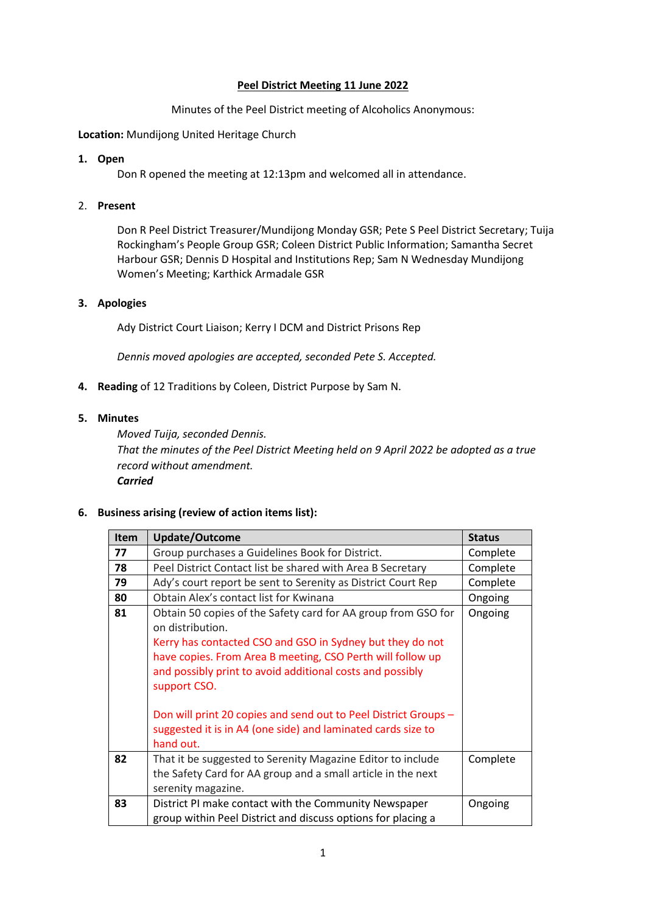#### **Peel District Meeting 11 June 2022**

Minutes of the Peel District meeting of Alcoholics Anonymous:

**Location:** Mundijong United Heritage Church

### **1. Open**

Don R opened the meeting at 12:13pm and welcomed all in attendance.

## 2. **Present**

Don R Peel District Treasurer/Mundijong Monday GSR; Pete S Peel District Secretary; Tuija Rockingham's People Group GSR; Coleen District Public Information; Samantha Secret Harbour GSR; Dennis D Hospital and Institutions Rep; Sam N Wednesday Mundijong Women's Meeting; Karthick Armadale GSR

### **3. Apologies**

Ady District Court Liaison; Kerry I DCM and District Prisons Rep

*Dennis moved apologies are accepted, seconded Pete S. Accepted.*

**4. Reading** of 12 Traditions by Coleen, District Purpose by Sam N.

### **5. Minutes**

*Moved Tuija, seconded Dennis. That the minutes of the Peel District Meeting held on 9 April 2022 be adopted as a true record without amendment. Carried*

## **6. Business arising (review of action items list):**

| Item | Update/Outcome                                                                                                                                                                                                                                                                                                                                                                                                                            | <b>Status</b> |
|------|-------------------------------------------------------------------------------------------------------------------------------------------------------------------------------------------------------------------------------------------------------------------------------------------------------------------------------------------------------------------------------------------------------------------------------------------|---------------|
| 77   | Group purchases a Guidelines Book for District.                                                                                                                                                                                                                                                                                                                                                                                           | Complete      |
| 78   | Peel District Contact list be shared with Area B Secretary                                                                                                                                                                                                                                                                                                                                                                                | Complete      |
| 79   | Ady's court report be sent to Serenity as District Court Rep                                                                                                                                                                                                                                                                                                                                                                              | Complete      |
| 80   | Obtain Alex's contact list for Kwinana                                                                                                                                                                                                                                                                                                                                                                                                    | Ongoing       |
| 81   | Obtain 50 copies of the Safety card for AA group from GSO for<br>on distribution.<br>Kerry has contacted CSO and GSO in Sydney but they do not<br>have copies. From Area B meeting, CSO Perth will follow up<br>and possibly print to avoid additional costs and possibly<br>support CSO.<br>Don will print 20 copies and send out to Peel District Groups -<br>suggested it is in A4 (one side) and laminated cards size to<br>hand out. | Ongoing       |
| 82   | That it be suggested to Serenity Magazine Editor to include<br>the Safety Card for AA group and a small article in the next<br>serenity magazine.                                                                                                                                                                                                                                                                                         | Complete      |
| 83   | District PI make contact with the Community Newspaper<br>group within Peel District and discuss options for placing a                                                                                                                                                                                                                                                                                                                     | Ongoing       |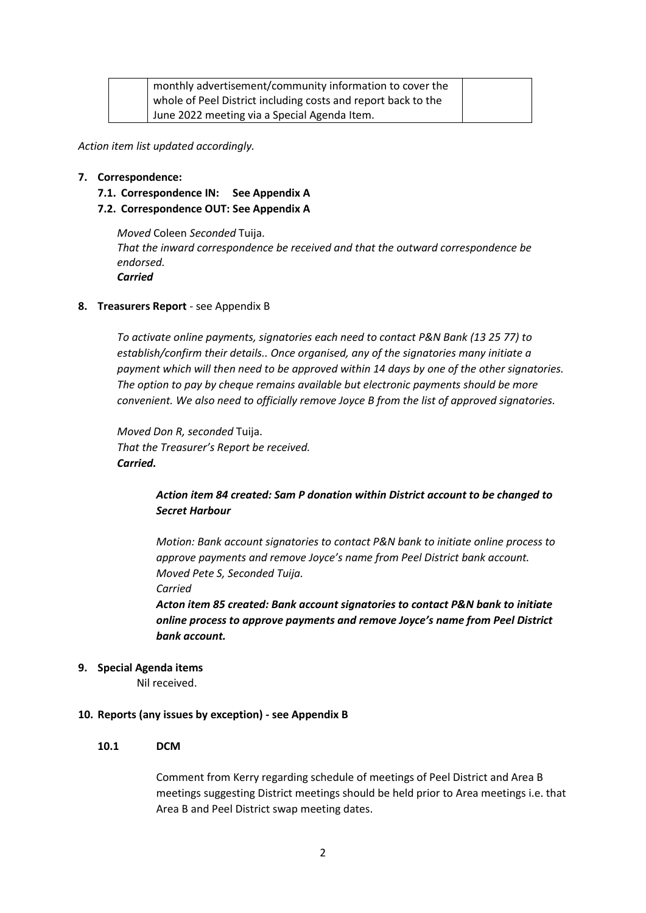| monthly advertisement/community information to cover the      |  |
|---------------------------------------------------------------|--|
| whole of Peel District including costs and report back to the |  |
| June 2022 meeting via a Special Agenda Item.                  |  |

*Action item list updated accordingly.* 

#### **7. Correspondence:**

**7.1. Correspondence IN: See Appendix A**

#### **7.2. Correspondence OUT: See Appendix A**

*Moved* Coleen *Seconded* Tuija. *That the inward correspondence be received and that the outward correspondence be endorsed. Carried*

#### **8. Treasurers Report** - see Appendix B

*To activate online payments, signatories each need to contact P&N Bank (13 25 77) to establish/confirm their details.. Once organised, any of the signatories many initiate a payment which will then need to be approved within 14 days by one of the other signatories. The option to pay by cheque remains available but electronic payments should be more convenient. We also need to officially remove Joyce B from the list of approved signatories.*

*Moved Don R, seconded* Tuija. *That the Treasurer's Report be received. Carried.*

## *Action item 84 created: Sam P donation within District account to be changed to Secret Harbour*

*Motion: Bank account signatories to contact P&N bank to initiate online process to approve payments and remove Joyce's name from Peel District bank account. Moved Pete S, Seconded Tuija. Carried*

*Acton item 85 created: Bank account signatories to contact P&N bank to initiate online process to approve payments and remove Joyce's name from Peel District bank account.*

#### **9. Special Agenda items**

Nil received.

#### **10. Reports (any issues by exception) - see Appendix B**

#### **10.1 DCM**

Comment from Kerry regarding schedule of meetings of Peel District and Area B meetings suggesting District meetings should be held prior to Area meetings i.e. that Area B and Peel District swap meeting dates.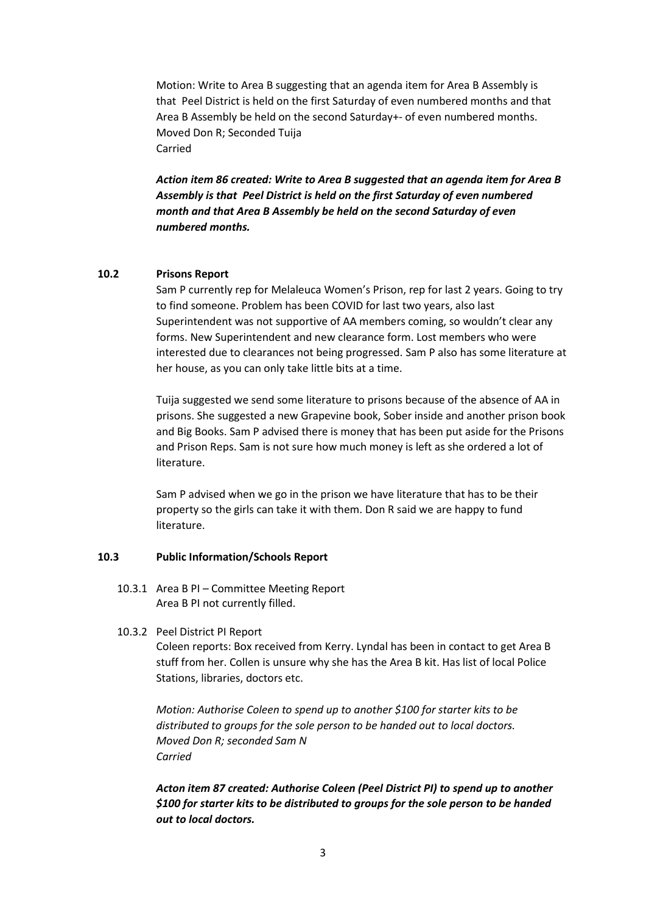Motion: Write to Area B suggesting that an agenda item for Area B Assembly is that Peel District is held on the first Saturday of even numbered months and that Area B Assembly be held on the second Saturday+- of even numbered months. Moved Don R; Seconded Tuija Carried

*Action item 86 created: Write to Area B suggested that an agenda item for Area B Assembly is that Peel District is held on the first Saturday of even numbered month and that Area B Assembly be held on the second Saturday of even numbered months.*

#### **10.2 Prisons Report**

Sam P currently rep for Melaleuca Women's Prison, rep for last 2 years. Going to try to find someone. Problem has been COVID for last two years, also last Superintendent was not supportive of AA members coming, so wouldn't clear any forms. New Superintendent and new clearance form. Lost members who were interested due to clearances not being progressed. Sam P also has some literature at her house, as you can only take little bits at a time.

Tuija suggested we send some literature to prisons because of the absence of AA in prisons. She suggested a new Grapevine book, Sober inside and another prison book and Big Books. Sam P advised there is money that has been put aside for the Prisons and Prison Reps. Sam is not sure how much money is left as she ordered a lot of literature.

Sam P advised when we go in the prison we have literature that has to be their property so the girls can take it with them. Don R said we are happy to fund literature.

#### **10.3 Public Information/Schools Report**

- 10.3.1 Area B PI Committee Meeting Report Area B PI not currently filled.
- 10.3.2 Peel District PI Report

Coleen reports: Box received from Kerry. Lyndal has been in contact to get Area B stuff from her. Collen is unsure why she has the Area B kit. Has list of local Police Stations, libraries, doctors etc.

*Motion: Authorise Coleen to spend up to another \$100 for starter kits to be distributed to groups for the sole person to be handed out to local doctors. Moved Don R; seconded Sam N Carried*

*Acton item 87 created: Authorise Coleen (Peel District PI) to spend up to another \$100 for starter kits to be distributed to groups for the sole person to be handed out to local doctors.*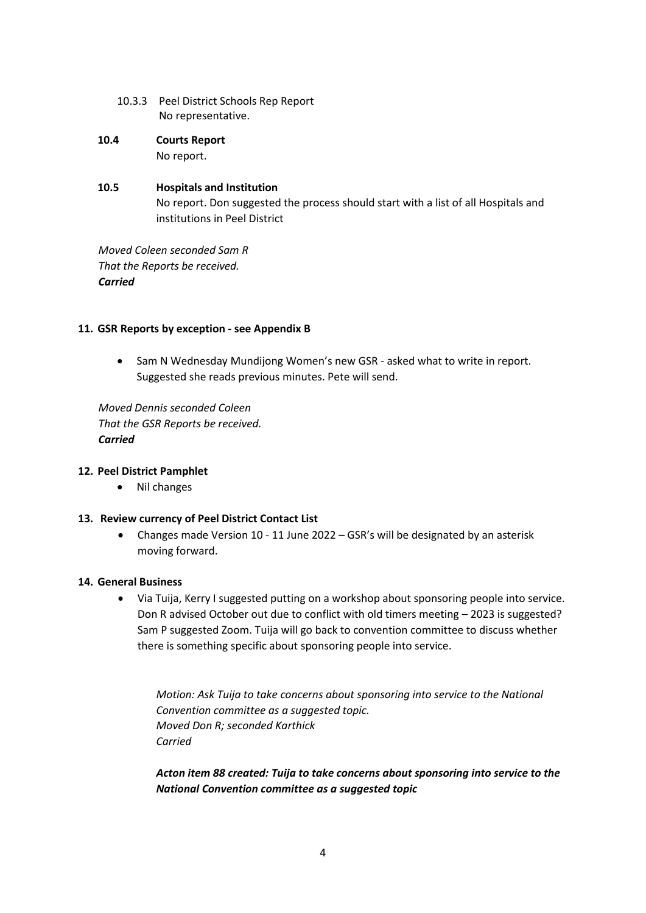- 10.3.3 Peel District Schools Rep Report No representative.
- **10.4 Courts Report** No report.

# **10.5 Hospitals and Institution** No report. Don suggested the process should start with a list of all Hospitals and institutions in Peel District

*Moved Coleen seconded Sam R That the Reports be received. Carried*

## **11. GSR Reports by exception - see Appendix B**

• Sam N Wednesday Mundijong Women's new GSR - asked what to write in report. Suggested she reads previous minutes. Pete will send.

*Moved Dennis seconded Coleen That the GSR Reports be received. Carried*

## **12. Peel District Pamphlet**

• Nil changes

## **13. Review currency of Peel District Contact List**

• Changes made Version 10 - 11 June 2022 – GSR's will be designated by an asterisk moving forward.

#### **14. General Business**

• Via Tuija, Kerry I suggested putting on a workshop about sponsoring people into service. Don R advised October out due to conflict with old timers meeting – 2023 is suggested? Sam P suggested Zoom. Tuija will go back to convention committee to discuss whether there is something specific about sponsoring people into service.

*Motion: Ask Tuija to take concerns about sponsoring into service to the National Convention committee as a suggested topic. Moved Don R; seconded Karthick Carried*

*Acton item 88 created: Tuija to take concerns about sponsoring into service to the National Convention committee as a suggested topic*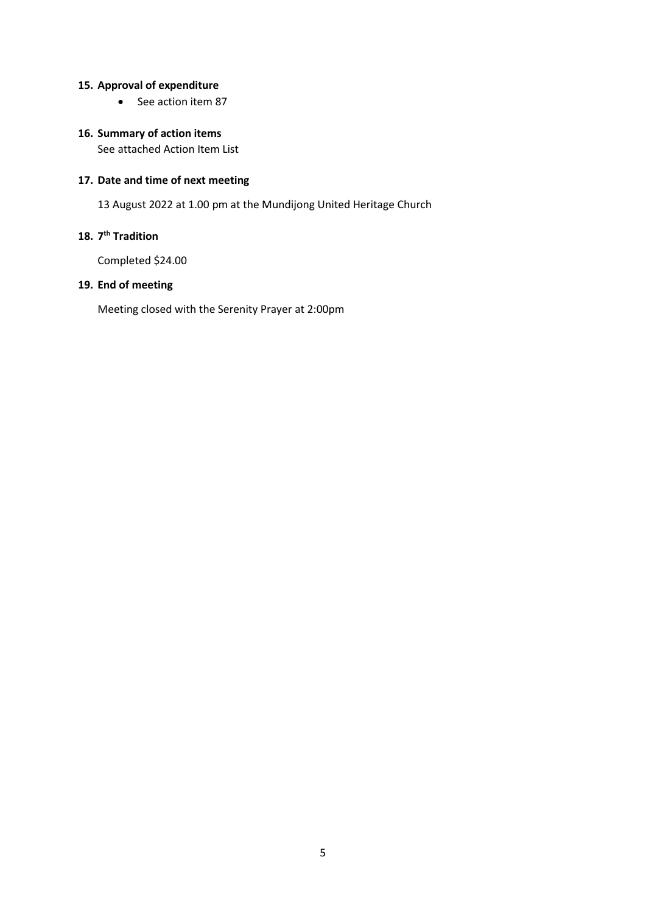## **15. Approval of expenditure**

• See action item 87

## **16. Summary of action items**

See attached Action Item List

# **17. Date and time of next meeting**

13 August 2022 at 1.00 pm at the Mundijong United Heritage Church

## **18. 7 th Tradition**

Completed \$24.00

# **19. End of meeting**

Meeting closed with the Serenity Prayer at 2:00pm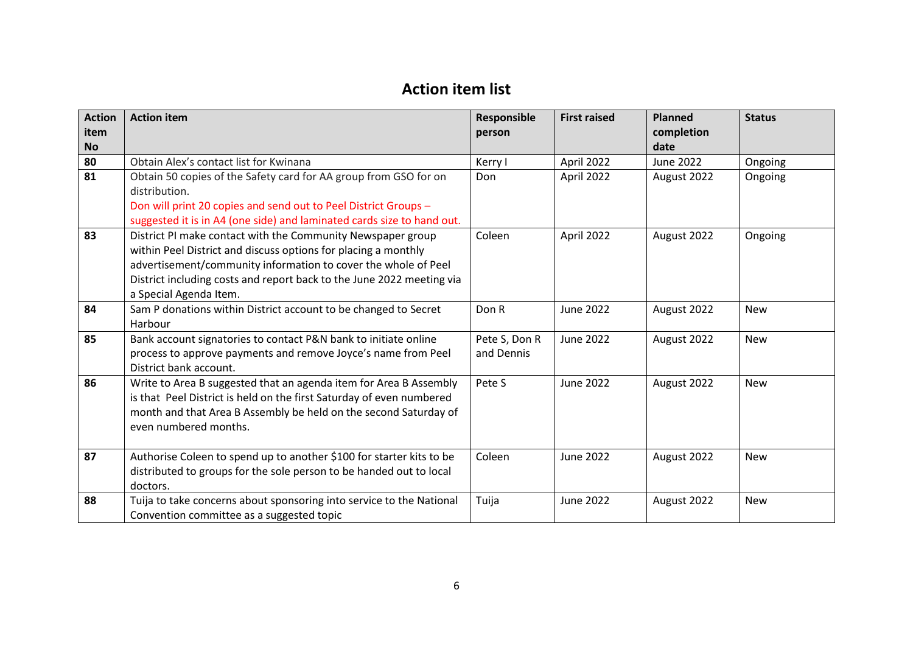# **Action item list**

| <b>Action</b> | <b>Action item</b>                                                                                                                                                                                                                                                                                 | Responsible                 | <b>First raised</b> | <b>Planned</b>   | <b>Status</b> |  |
|---------------|----------------------------------------------------------------------------------------------------------------------------------------------------------------------------------------------------------------------------------------------------------------------------------------------------|-----------------------------|---------------------|------------------|---------------|--|
| item          |                                                                                                                                                                                                                                                                                                    | person                      |                     | completion       |               |  |
| <b>No</b>     |                                                                                                                                                                                                                                                                                                    |                             |                     | date             |               |  |
| 80            | Obtain Alex's contact list for Kwinana                                                                                                                                                                                                                                                             | Kerry I                     | April 2022          | <b>June 2022</b> | Ongoing       |  |
| 81            | Obtain 50 copies of the Safety card for AA group from GSO for on<br>distribution.                                                                                                                                                                                                                  | Don                         | April 2022          | August 2022      | Ongoing       |  |
|               | Don will print 20 copies and send out to Peel District Groups -<br>suggested it is in A4 (one side) and laminated cards size to hand out.                                                                                                                                                          |                             |                     |                  |               |  |
| 83            | District PI make contact with the Community Newspaper group<br>within Peel District and discuss options for placing a monthly<br>advertisement/community information to cover the whole of Peel<br>District including costs and report back to the June 2022 meeting via<br>a Special Agenda Item. | Coleen                      | April 2022          | August 2022      | Ongoing       |  |
| 84            | Sam P donations within District account to be changed to Secret<br>Harbour                                                                                                                                                                                                                         | Don R                       | <b>June 2022</b>    | August 2022      | <b>New</b>    |  |
| 85            | Bank account signatories to contact P&N bank to initiate online<br>process to approve payments and remove Joyce's name from Peel<br>District bank account.                                                                                                                                         | Pete S, Don R<br>and Dennis | June 2022           | August 2022      | <b>New</b>    |  |
| 86            | Write to Area B suggested that an agenda item for Area B Assembly<br>is that Peel District is held on the first Saturday of even numbered<br>month and that Area B Assembly be held on the second Saturday of<br>even numbered months.                                                             | Pete S                      | <b>June 2022</b>    | August 2022      | <b>New</b>    |  |
| 87            | Authorise Coleen to spend up to another \$100 for starter kits to be<br>distributed to groups for the sole person to be handed out to local<br>doctors.                                                                                                                                            | Coleen                      | <b>June 2022</b>    | August 2022      | <b>New</b>    |  |
| 88            | Tuija to take concerns about sponsoring into service to the National<br>Convention committee as a suggested topic                                                                                                                                                                                  | Tuija                       | <b>June 2022</b>    | August 2022      | <b>New</b>    |  |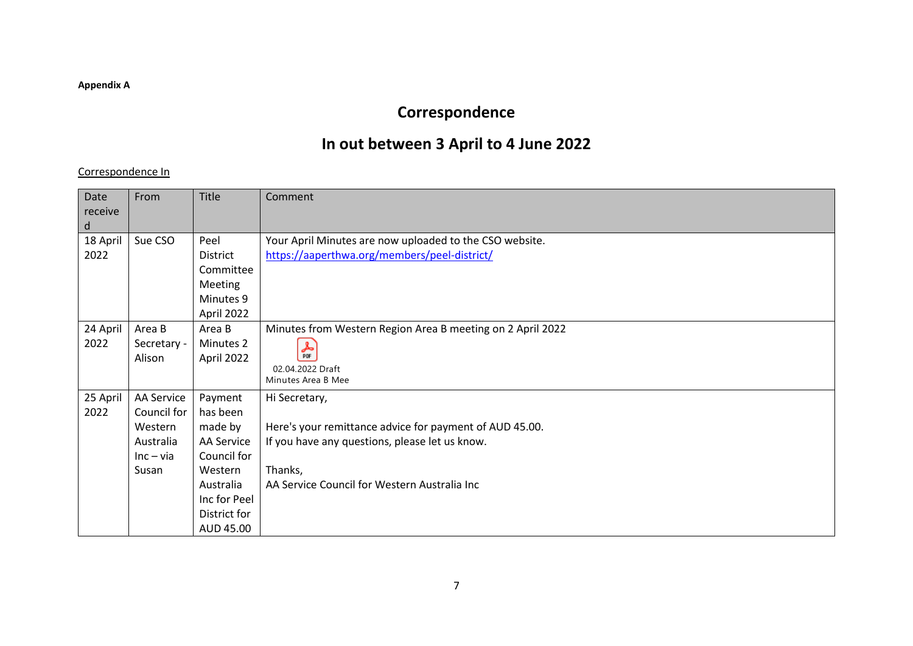### **Appendix A**

# **Correspondence**

# **In out between 3 April to 4 June 2022**

## Correspondence In

| Date<br>receive<br>d | From                                                                      | Title                                                                                                                                   | Comment                                                                                                                                                                               |
|----------------------|---------------------------------------------------------------------------|-----------------------------------------------------------------------------------------------------------------------------------------|---------------------------------------------------------------------------------------------------------------------------------------------------------------------------------------|
| 18 April<br>2022     | Sue CSO                                                                   | Peel<br><b>District</b><br>Committee<br>Meeting<br>Minutes 9<br>April 2022                                                              | Your April Minutes are now uploaded to the CSO website.<br>https://aaperthwa.org/members/peel-district/                                                                               |
| 24 April<br>2022     | Area B<br>Secretary -<br>Alison                                           | Area B<br>Minutes 2<br>April 2022                                                                                                       | Minutes from Western Region Area B meeting on 2 April 2022<br>$\frac{1}{\rho_{DF}}$<br>02.04.2022 Draft<br>Minutes Area B Mee                                                         |
| 25 April<br>2022     | AA Service<br>Council for<br>Western<br>Australia<br>$Inc - via$<br>Susan | Payment<br>has been<br>made by<br><b>AA Service</b><br>Council for<br>Western<br>Australia<br>Inc for Peel<br>District for<br>AUD 45.00 | Hi Secretary,<br>Here's your remittance advice for payment of AUD 45.00.<br>If you have any questions, please let us know.<br>Thanks,<br>AA Service Council for Western Australia Inc |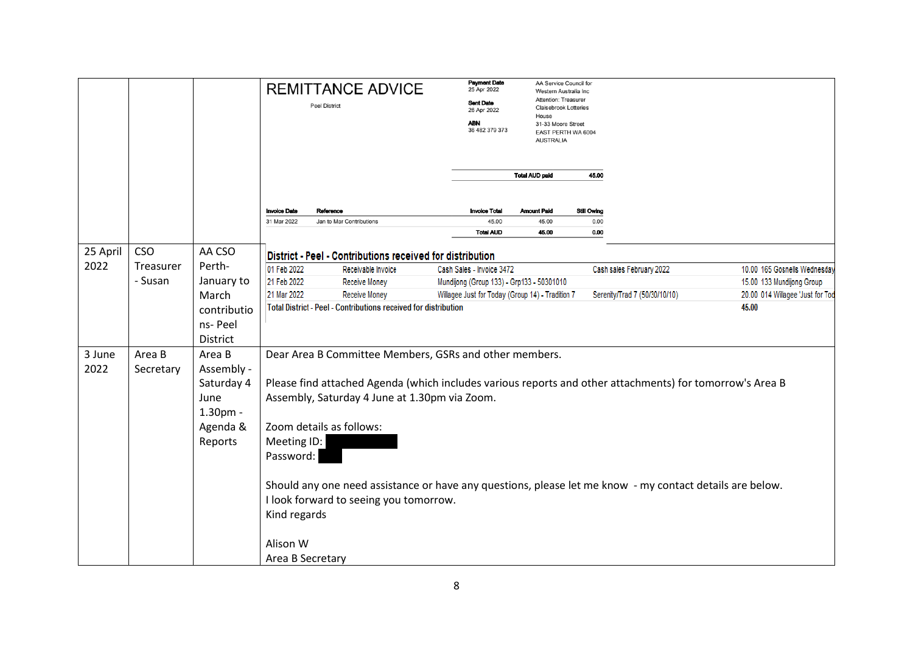|          |            |             | <b>REMITTANCE ADVICE</b><br><b>Peel District</b> |                                                                                                          | <b>Payment Date</b><br>25 Apr 2022<br><b>Sent Date</b><br>26 Apr 2022<br><b>ABN</b><br>36 482 379 373 | AA Service Council for<br>Western Australia Inc<br>Attention: Treasure<br><b>Claisebrook Lotteries</b><br>House<br>31-33 Moore Street<br>EAST PERTH WA 6004<br><b>AUSTRALIA</b> |             |                               |                                  |
|----------|------------|-------------|--------------------------------------------------|----------------------------------------------------------------------------------------------------------|-------------------------------------------------------------------------------------------------------|---------------------------------------------------------------------------------------------------------------------------------------------------------------------------------|-------------|-------------------------------|----------------------------------|
|          |            |             |                                                  |                                                                                                          |                                                                                                       | <b>Total AUD paid</b>                                                                                                                                                           | 45.00       |                               |                                  |
|          |            |             | <b>Invoice Date</b>                              | Reference                                                                                                | <b>Invoice Total</b>                                                                                  | <b>Amount Paid</b>                                                                                                                                                              | Still Owing |                               |                                  |
|          |            |             | 31 Mar 2022                                      | Jan to Mar Contributions                                                                                 | 45.00                                                                                                 | 45.00                                                                                                                                                                           | 0.00        |                               |                                  |
|          |            |             |                                                  |                                                                                                          | <b>Total AUD</b>                                                                                      | 45.00                                                                                                                                                                           | 0.00        |                               |                                  |
| 25 April | <b>CSO</b> | AA CSO      |                                                  | District - Peel - Contributions received for distribution                                                |                                                                                                       |                                                                                                                                                                                 |             |                               |                                  |
| 2022     | Treasurer  | Perth-      | 01 Feb 2022                                      | Receivable Invoice                                                                                       | Cash Sales - Invoice 3472                                                                             |                                                                                                                                                                                 |             | Cash sales February 2022      | 10.00 165 Gosnells Wednesday     |
|          | - Susan    | January to  | 21 Feb 2022                                      | Receive Money                                                                                            | Mundijong (Group 133) - Grp133 - 50301010                                                             |                                                                                                                                                                                 |             |                               | 15.00 133 Mundijong Group        |
|          |            | March       | 21 Mar 2022                                      | <b>Receive Money</b>                                                                                     | Willagee Just for Today (Group 14) - Tradition 7                                                      |                                                                                                                                                                                 |             | Serenity/Trad 7 (50/30/10/10) | 20.00 014 Willagee 'Just for Tod |
|          |            | contributio |                                                  | <b>Total District - Peel - Contributions received for distribution</b>                                   |                                                                                                       |                                                                                                                                                                                 |             |                               | 45.00                            |
|          |            | ns-Peel     |                                                  |                                                                                                          |                                                                                                       |                                                                                                                                                                                 |             |                               |                                  |
|          |            | District    |                                                  |                                                                                                          |                                                                                                       |                                                                                                                                                                                 |             |                               |                                  |
| 3 June   | Area B     | Area B      |                                                  | Dear Area B Committee Members, GSRs and other members.                                                   |                                                                                                       |                                                                                                                                                                                 |             |                               |                                  |
| 2022     | Secretary  | Assembly -  |                                                  |                                                                                                          |                                                                                                       |                                                                                                                                                                                 |             |                               |                                  |
|          |            | Saturday 4  |                                                  | Please find attached Agenda (which includes various reports and other attachments) for tomorrow's Area B |                                                                                                       |                                                                                                                                                                                 |             |                               |                                  |
|          |            | June        | Assembly, Saturday 4 June at 1.30pm via Zoom.    |                                                                                                          |                                                                                                       |                                                                                                                                                                                 |             |                               |                                  |
|          |            | 1.30pm -    |                                                  |                                                                                                          |                                                                                                       |                                                                                                                                                                                 |             |                               |                                  |
|          |            | Agenda &    |                                                  | Zoom details as follows:                                                                                 |                                                                                                       |                                                                                                                                                                                 |             |                               |                                  |
|          |            | Reports     | Meeting ID:                                      |                                                                                                          |                                                                                                       |                                                                                                                                                                                 |             |                               |                                  |
|          |            |             | Password:                                        |                                                                                                          |                                                                                                       |                                                                                                                                                                                 |             |                               |                                  |
|          |            |             |                                                  | Should any one need assistance or have any questions, please let me know - my contact details are below. |                                                                                                       |                                                                                                                                                                                 |             |                               |                                  |
|          |            |             |                                                  | I look forward to seeing you tomorrow.                                                                   |                                                                                                       |                                                                                                                                                                                 |             |                               |                                  |
|          |            |             | Kind regards                                     |                                                                                                          |                                                                                                       |                                                                                                                                                                                 |             |                               |                                  |
|          |            |             | Alison W                                         |                                                                                                          |                                                                                                       |                                                                                                                                                                                 |             |                               |                                  |
|          |            |             | Area B Secretary                                 |                                                                                                          |                                                                                                       |                                                                                                                                                                                 |             |                               |                                  |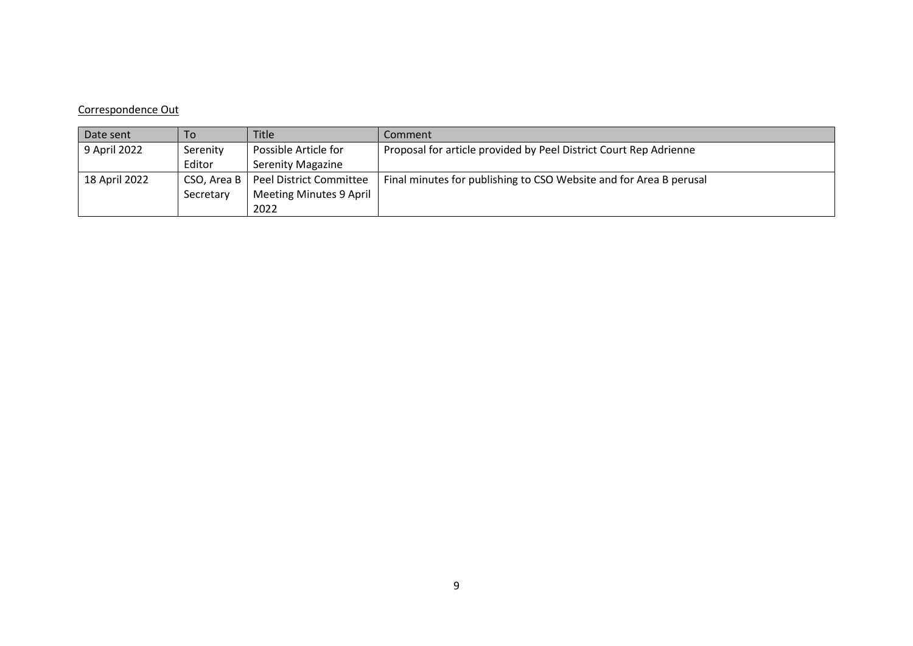#### Correspondence Out

| Date sent     | To          | <b>Title</b>                   | Comment                                                            |
|---------------|-------------|--------------------------------|--------------------------------------------------------------------|
| 9 April 2022  | Serenity    | Possible Article for           | Proposal for article provided by Peel District Court Rep Adrienne  |
|               | Editor      | <b>Serenity Magazine</b>       |                                                                    |
| 18 April 2022 | CSO, Area B | Peel District Committee        | Final minutes for publishing to CSO Website and for Area B perusal |
|               | Secretary   | <b>Meeting Minutes 9 April</b> |                                                                    |
|               |             | 2022                           |                                                                    |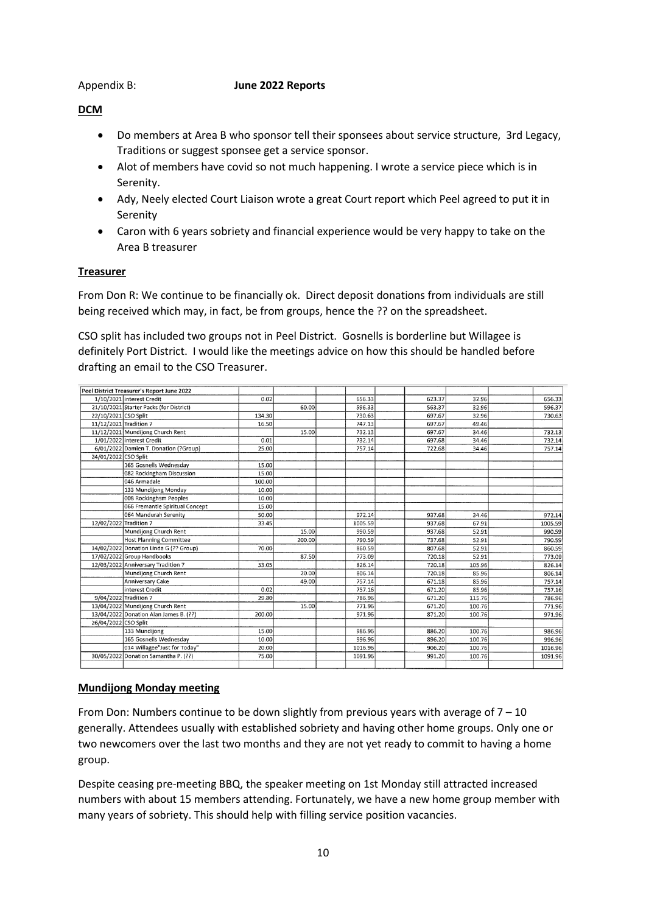#### Appendix B: **June 2022 Reports**

## **DCM**

- Do members at Area B who sponsor tell their sponsees about service structure, 3rd Legacy, Traditions or suggest sponsee get a service sponsor.
- Alot of members have covid so not much happening. I wrote a service piece which is in Serenity.
- Ady, Neely elected Court Liaison wrote a great Court report which Peel agreed to put it in Serenity
- Caron with 6 years sobriety and financial experience would be very happy to take on the Area B treasurer

## **Treasurer**

From Don R: We continue to be financially ok. Direct deposit donations from individuals are still being received which may, in fact, be from groups, hence the ?? on the spreadsheet.

CSO split has included two groups not in Peel District. Gosnells is borderline but Willagee is definitely Port District. I would like the meetings advice on how this should be handled before drafting an email to the CSO Treasurer.

|                        | Peel District Treasurer's Report June 2022 |        |        |         |                  |         |
|------------------------|--------------------------------------------|--------|--------|---------|------------------|---------|
|                        | 1/10/2021 interest Credit                  | 0.02   |        | 656.33  | 623.37<br>32.96  | 656.33  |
|                        | 21/10/2021 Starter Packs (for District)    |        | 60.00  | 596.33  | 563.37<br>32.96  | 596.37  |
| 22/10/2021 CSO Split   |                                            | 134.30 |        | 730.63  | 697.67<br>32.96  | 730.63  |
| 11/12/2021 Tradition 7 |                                            | 16.50  |        | 747.13  | 697.67<br>49.46  |         |
|                        | 11/12/2021 Mundijong Church Rent           |        | 15.00  | 732.13  | 697.67<br>34.46  | 732.13  |
|                        | 1/01/2022 interest Credit                  | 0.01   |        | 732.14  | 697.68<br>34.46  | 732.14  |
|                        | 6/01/2022 Damien T. Donation (?Group)      | 25.00  |        | 757.14  | 722.68<br>34.46  | 757.14  |
| 24/01/2022 CSO Split   |                                            |        |        |         |                  |         |
|                        | 165 Gosnells Wednesday                     | 15.00  |        |         |                  |         |
|                        | 082 Rockingham Discussion                  | 15.00  |        |         |                  |         |
|                        | 046 Armadale                               | 100.00 |        |         |                  |         |
|                        | 133 Mundijong Monday                       | 10.00  |        |         |                  |         |
|                        | 008 Rockinghsm Peoples                     | 10.00  |        |         |                  |         |
|                        | 066 Fremantle Spiritual Concept            | 15.00  |        |         |                  |         |
|                        | 064 Mandurah Serenity                      | 50.00  |        | 972.14  | 937.68<br>34.46  | 972.14  |
| 12/02/2022 Tradition 7 |                                            | 33.45  |        | 1005.59 | 937.68<br>67.91  | 1005.59 |
|                        | Mundijong Church Rent                      |        | 15.00  | 990.59  | 937.68<br>52.91  | 990.59  |
|                        | <b>Host Planning Committee</b>             |        | 200.00 | 790.59  | 737.68<br>52.91  | 790.59  |
|                        | 14/02/2022 Donation Linda G (?? Group)     | 70.00  |        | 860.59  | 807.68<br>52.91  | 860.59  |
|                        | 17/02/2022 Group Handbooks                 |        | 87.50  | 773.09  | 52.91<br>720.18  | 773.09  |
|                        | 12/03/2022 Anniversary Tradition 7         | 53.05  |        | 826.14  | 105.96<br>720.18 | 826.14  |
|                        | Mundijong Church Rent                      |        | 20.00  | 806.14  | 720.18<br>85.96  | 806.14  |
|                        | Anniversary Cake                           |        | 49.00  | 757.14  | 671.18<br>85.96  | 757.14  |
|                        | interest Credit                            | 0.02   |        | 757.16  | 671.20<br>85.96  | 757.16  |
|                        | 9/04/2022 Tradition 7                      | 29.80  |        | 786.96  | 671.20<br>115.76 | 786.96  |
|                        | 13/04/2022 Mundijong Church Rent           |        | 15.00  | 771.96  | 671.20<br>100.76 | 771.96  |
|                        | 13/04/2022 Donation Alan James B. (??)     | 200.00 |        | 971.96  | 871.20<br>100.76 | 971.96  |
| 26/04/2022 CSO Split   |                                            |        |        |         |                  |         |
|                        | 133 Mundijong                              | 15.00  |        | 986.96  | 886.20<br>100.76 | 986.96  |
|                        | 165 Gosnells Wednesday                     | 10.00  |        | 996.96  | 100.76<br>896.20 | 996.96  |
|                        | 014 Willagee"Just for Today"               | 20.00  |        | 1016.96 | 100.76<br>906.20 | 1016.96 |
| 30/05/2022             | Donation Samantha P. (??)                  | 75.00  |        | 1091.96 | 991.20<br>100.76 | 1091.96 |
|                        |                                            |        |        |         |                  |         |

## **Mundijong Monday meeting**

From Don: Numbers continue to be down slightly from previous years with average of  $7 - 10$ generally. Attendees usually with established sobriety and having other home groups. Only one or two newcomers over the last two months and they are not yet ready to commit to having a home group.

Despite ceasing pre-meeting BBQ, the speaker meeting on 1st Monday still attracted increased numbers with about 15 members attending. Fortunately, we have a new home group member with many years of sobriety. This should help with filling service position vacancies.